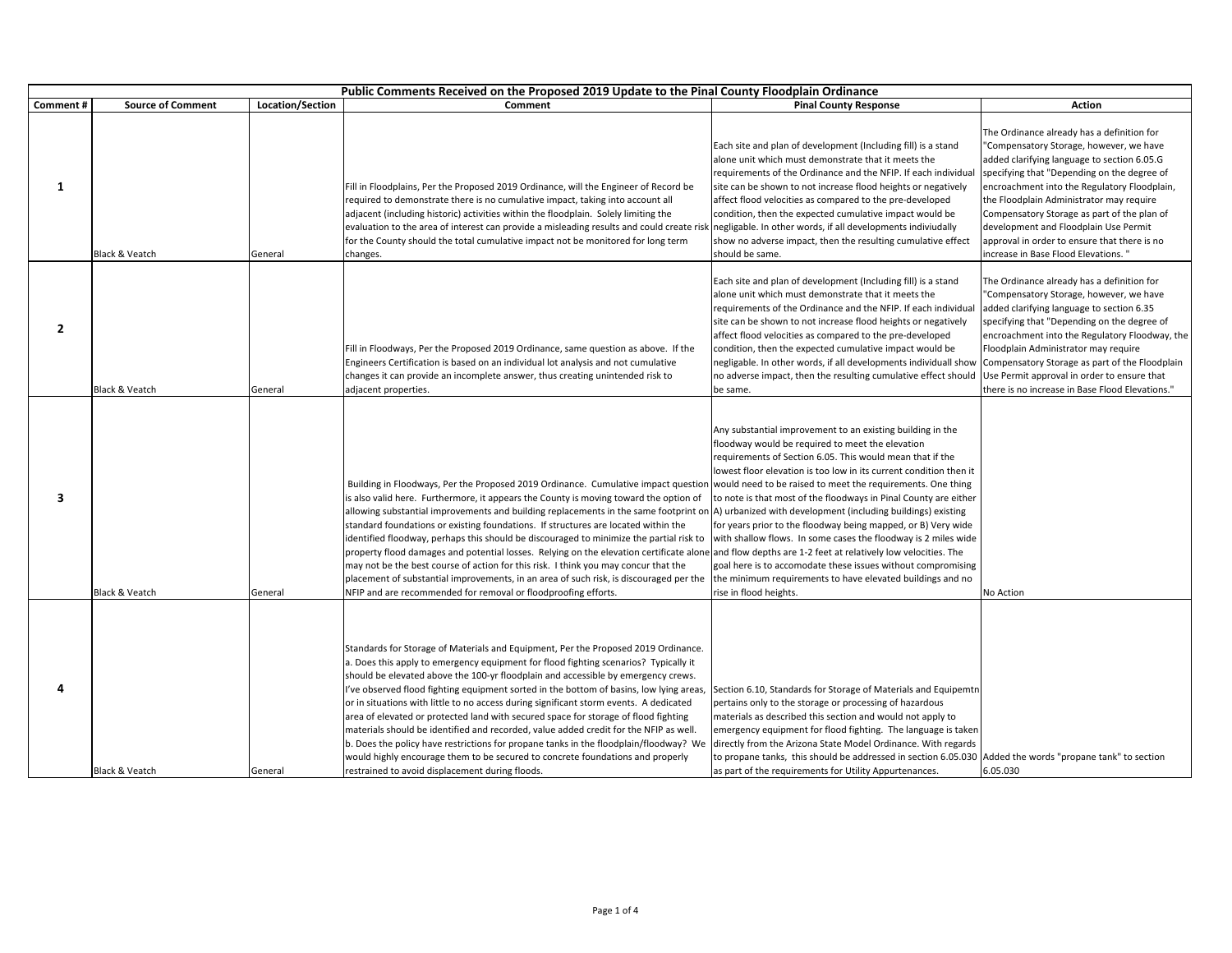|              | Public Comments Received on the Proposed 2019 Update to the Pinal County Floodplain Ordinance |                         |                                                                                                                                                                                                                                                                                                                                                                                                                                                                                                                                                                                                                                                                                                                                                                                                                                                                                                                                |                                                                                                                                                                                                                                                                                                                                                                                                                                                                                                                                                                                                                                                                                |                                                                                                                                                                                                                                                                                                                                                                                                                                                                |
|--------------|-----------------------------------------------------------------------------------------------|-------------------------|--------------------------------------------------------------------------------------------------------------------------------------------------------------------------------------------------------------------------------------------------------------------------------------------------------------------------------------------------------------------------------------------------------------------------------------------------------------------------------------------------------------------------------------------------------------------------------------------------------------------------------------------------------------------------------------------------------------------------------------------------------------------------------------------------------------------------------------------------------------------------------------------------------------------------------|--------------------------------------------------------------------------------------------------------------------------------------------------------------------------------------------------------------------------------------------------------------------------------------------------------------------------------------------------------------------------------------------------------------------------------------------------------------------------------------------------------------------------------------------------------------------------------------------------------------------------------------------------------------------------------|----------------------------------------------------------------------------------------------------------------------------------------------------------------------------------------------------------------------------------------------------------------------------------------------------------------------------------------------------------------------------------------------------------------------------------------------------------------|
| Comment#     | <b>Source of Comment</b>                                                                      | <b>Location/Section</b> | Comment                                                                                                                                                                                                                                                                                                                                                                                                                                                                                                                                                                                                                                                                                                                                                                                                                                                                                                                        | <b>Pinal County Response</b>                                                                                                                                                                                                                                                                                                                                                                                                                                                                                                                                                                                                                                                   | Action                                                                                                                                                                                                                                                                                                                                                                                                                                                         |
| 1            | <b>Black &amp; Veatch</b>                                                                     | General                 | Fill in Floodplains, Per the Proposed 2019 Ordinance, will the Engineer of Record be<br>required to demonstrate there is no cumulative impact, taking into account all<br>adjacent (including historic) activities within the floodplain. Solely limiting the<br>evaluation to the area of interest can provide a misleading results and could create risl<br>for the County should the total cumulative impact not be monitored for long term<br>changes.                                                                                                                                                                                                                                                                                                                                                                                                                                                                     | Each site and plan of development (Including fill) is a stand<br>alone unit which must demonstrate that it meets the<br>requirements of the Ordinance and the NFIP. If each individua<br>site can be shown to not increase flood heights or negatively<br>affect flood velocities as compared to the pre-developed<br>condition, then the expected cumulative impact would be<br>negligable. In other words, if all developments indiviudally<br>show no adverse impact, then the resulting cumulative effect<br>should be same.                                                                                                                                               | The Ordinance already has a definition for<br>"Compensatory Storage, however, we have<br>added clarifying language to section 6.05.G<br>specifying that "Depending on the degree of<br>encroachment into the Regulatory Floodplain,<br>the Floodplain Administrator may require<br>Compensatory Storage as part of the plan of<br>development and Floodplain Use Permit<br>approval in order to ensure that there is no<br>increase in Base Flood Elevations." |
| $\mathbf{2}$ | Black & Veatch                                                                                | General                 | Fill in Floodways, Per the Proposed 2019 Ordinance, same question as above. If the<br>Engineers Certification is based on an individual lot analysis and not cumulative<br>changes it can provide an incomplete answer, thus creating unintended risk to<br>djacent properties.                                                                                                                                                                                                                                                                                                                                                                                                                                                                                                                                                                                                                                                | Each site and plan of development (Including fill) is a stand<br>alone unit which must demonstrate that it meets the<br>requirements of the Ordinance and the NFIP. If each individual<br>site can be shown to not increase flood heights or negatively<br>affect flood velocities as compared to the pre-developed<br>condition, then the expected cumulative impact would be<br>negligable. In other words, if all developments individuall show<br>no adverse impact, then the resulting cumulative effect should Use Permit approval in order to ensure that<br>be same.                                                                                                   | The Ordinance already has a definition for<br>"Compensatory Storage, however, we have<br>added clarifying language to section 6.35<br>specifying that "Depending on the degree of<br>encroachment into the Regulatory Floodway, the<br>Floodplain Administrator may require<br>Compensatory Storage as part of the Floodplain<br>there is no increase in Base Flood Elevations."                                                                               |
| 3            | <b>Black &amp; Veatch</b>                                                                     | General                 | Building in Floodways, Per the Proposed 2019 Ordinance. Cumulative impact questior<br>is also valid here. Furthermore, it appears the County is moving toward the option of<br>allowing substantial improvements and building replacements in the same footprint on A) urbanized with development (including buildings) existing<br>standard foundations or existing foundations. If structures are located within the<br>identified floodway, perhaps this should be discouraged to minimize the partial risk to<br>property flood damages and potential losses. Relying on the elevation certificate alone and flow depths are 1-2 feet at relatively low velocities. The<br>may not be the best course of action for this risk. I think you may concur that the<br>placement of substantial improvements, in an area of such risk, is discouraged per the<br>NFIP and are recommended for removal or floodproofing efforts. | Any substantial improvement to an existing building in the<br>floodway would be required to meet the elevation<br>requirements of Section 6.05. This would mean that if the<br>owest floor elevation is too low in its current condition then it<br>would need to be raised to meet the requirements. One thing<br>to note is that most of the floodways in Pinal County are either<br>for years prior to the floodway being mapped, or B) Very wide<br>with shallow flows. In some cases the floodway is 2 miles wide<br>goal here is to accomodate these issues without compromising<br>the minimum requirements to have elevated buildings and no<br>rise in flood heights. | No Action                                                                                                                                                                                                                                                                                                                                                                                                                                                      |
| Δ            | <b>Black &amp; Veatch</b>                                                                     | General                 | Standards for Storage of Materials and Equipment, Per the Proposed 2019 Ordinance.<br>a. Does this apply to emergency equipment for flood fighting scenarios? Typically it<br>should be elevated above the 100-yr floodplain and accessible by emergency crews.<br>I've observed flood fighting equipment sorted in the bottom of basins, low lying areas,<br>or in situations with little to no access during significant storm events. A dedicated<br>area of elevated or protected land with secured space for storage of flood fighting<br>materials should be identified and recorded, value added credit for the NFIP as well.<br>b. Does the policy have restrictions for propane tanks in the floodplain/floodway? We<br>would highly encourage them to be secured to concrete foundations and properly<br>restrained to avoid displacement during floods.                                                             | Section 6.10, Standards for Storage of Materials and Equipemtn<br>pertains only to the storage or processing of hazardous<br>materials as described this section and would not apply to<br>emergency equipment for flood fighting. The language is taken<br>directly from the Arizona State Model Ordinance. With regards<br>to propane tanks, this should be addressed in section 6.05.030 Added the words "propane tank" to section<br>as part of the requirements for Utility Appurtenances.                                                                                                                                                                                | 6.05.030                                                                                                                                                                                                                                                                                                                                                                                                                                                       |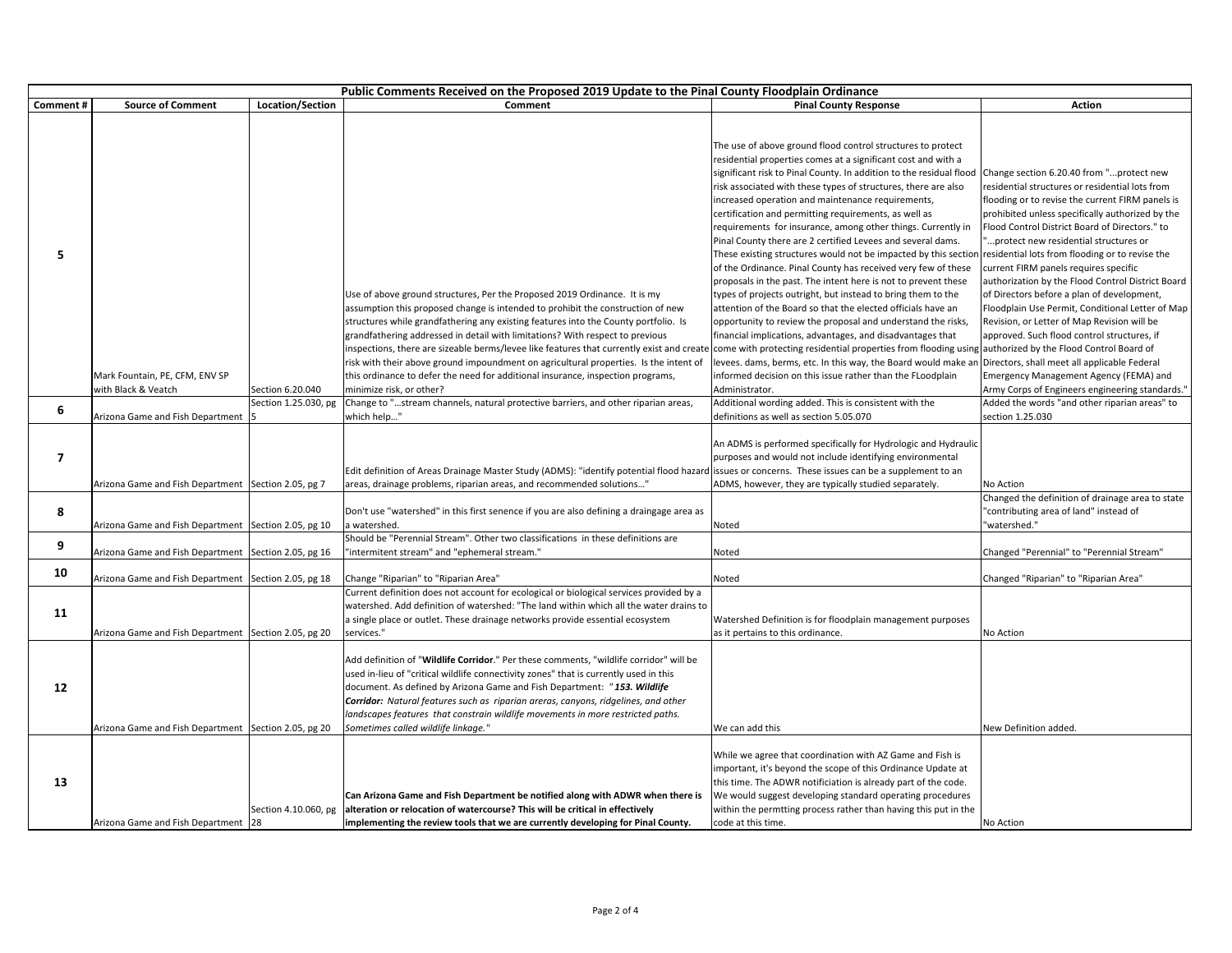|          | Public Comments Received on the Proposed 2019 Update to the Pinal County Floodplain Ordinance |                      |                                                                                                                                                                                                                                                                                                                                                                                                                                                                                                                            |                                                                                                                                                                                                                                                                                                                                                                                                                                                                                                                                                                                                                                                                                                                                                                                                                                                                                                                                                                                                                                                                                                                                                                                                                   |                                                                                                                                                                                                                                                                                                                                                                                                                                                                                                                                                                                                                                                  |  |
|----------|-----------------------------------------------------------------------------------------------|----------------------|----------------------------------------------------------------------------------------------------------------------------------------------------------------------------------------------------------------------------------------------------------------------------------------------------------------------------------------------------------------------------------------------------------------------------------------------------------------------------------------------------------------------------|-------------------------------------------------------------------------------------------------------------------------------------------------------------------------------------------------------------------------------------------------------------------------------------------------------------------------------------------------------------------------------------------------------------------------------------------------------------------------------------------------------------------------------------------------------------------------------------------------------------------------------------------------------------------------------------------------------------------------------------------------------------------------------------------------------------------------------------------------------------------------------------------------------------------------------------------------------------------------------------------------------------------------------------------------------------------------------------------------------------------------------------------------------------------------------------------------------------------|--------------------------------------------------------------------------------------------------------------------------------------------------------------------------------------------------------------------------------------------------------------------------------------------------------------------------------------------------------------------------------------------------------------------------------------------------------------------------------------------------------------------------------------------------------------------------------------------------------------------------------------------------|--|
| Comment# | <b>Source of Comment</b>                                                                      | Location/Section     | Comment                                                                                                                                                                                                                                                                                                                                                                                                                                                                                                                    | <b>Pinal County Response</b>                                                                                                                                                                                                                                                                                                                                                                                                                                                                                                                                                                                                                                                                                                                                                                                                                                                                                                                                                                                                                                                                                                                                                                                      | <b>Action</b>                                                                                                                                                                                                                                                                                                                                                                                                                                                                                                                                                                                                                                    |  |
| 5        |                                                                                               |                      | Use of above ground structures, Per the Proposed 2019 Ordinance. It is my<br>assumption this proposed change is intended to prohibit the construction of new<br>structures while grandfathering any existing features into the County portfolio. Is<br>grandfathering addressed in detail with limitations? With respect to previous<br>inspections, there are sizeable berms/levee like features that currently exist and create<br>risk with their above ground impoundment on agricultural properties. Is the intent of | The use of above ground flood control structures to protect<br>residential properties comes at a significant cost and with a<br>significant risk to Pinal County. In addition to the residual flood<br>risk associated with these types of structures, there are also<br>increased operation and maintenance requirements,<br>certification and permitting requirements, as well as<br>requirements for insurance, among other things. Currently in<br>Pinal County there are 2 certified Levees and several dams.<br>These existing structures would not be impacted by this section<br>of the Ordinance. Pinal County has received very few of these<br>proposals in the past. The intent here is not to prevent these<br>types of projects outright, but instead to bring them to the<br>attention of the Board so that the elected officials have an<br>opportunity to review the proposal and understand the risks,<br>financial implications, advantages, and disadvantages that<br>come with protecting residential properties from flooding using authorized by the Flood Control Board of<br>levees. dams, berms, etc. In this way, the Board would make an Directors, shall meet all applicable Federal | Change section 6.20.40 from "protect new<br>residential structures or residential lots from<br>flooding or to revise the current FIRM panels is<br>prohibited unless specifically authorized by the<br>Flood Control District Board of Directors." to<br>"protect new residential structures or<br>residential lots from flooding or to revise the<br>current FIRM panels requires specific<br>authorization by the Flood Control District Board<br>of Directors before a plan of development,<br>Floodplain Use Permit, Conditional Letter of Map<br>Revision, or Letter of Map Revision will be<br>approved. Such flood control structures, if |  |
|          | Mark Fountain, PE, CFM, ENV SP                                                                |                      | this ordinance to defer the need for additional insurance, inspection programs,                                                                                                                                                                                                                                                                                                                                                                                                                                            | informed decision on this issue rather than the FLoodplain                                                                                                                                                                                                                                                                                                                                                                                                                                                                                                                                                                                                                                                                                                                                                                                                                                                                                                                                                                                                                                                                                                                                                        | Emergency Management Agency (FEMA) and                                                                                                                                                                                                                                                                                                                                                                                                                                                                                                                                                                                                           |  |
|          | with Black & Veatch                                                                           | Section 6.20.040     | minimize risk, or other?                                                                                                                                                                                                                                                                                                                                                                                                                                                                                                   | Administrator.                                                                                                                                                                                                                                                                                                                                                                                                                                                                                                                                                                                                                                                                                                                                                                                                                                                                                                                                                                                                                                                                                                                                                                                                    | Army Corps of Engineers engineering standards.'                                                                                                                                                                                                                                                                                                                                                                                                                                                                                                                                                                                                  |  |
|          |                                                                                               | Section 1.25.030, pg | Change to "stream channels, natural protective barriers, and other riparian areas,                                                                                                                                                                                                                                                                                                                                                                                                                                         | Additional wording added. This is consistent with the                                                                                                                                                                                                                                                                                                                                                                                                                                                                                                                                                                                                                                                                                                                                                                                                                                                                                                                                                                                                                                                                                                                                                             | Added the words "and other riparian areas" to                                                                                                                                                                                                                                                                                                                                                                                                                                                                                                                                                                                                    |  |
| 6        | Arizona Game and Fish Department                                                              |                      | which help"                                                                                                                                                                                                                                                                                                                                                                                                                                                                                                                | definitions as well as section 5.05.070                                                                                                                                                                                                                                                                                                                                                                                                                                                                                                                                                                                                                                                                                                                                                                                                                                                                                                                                                                                                                                                                                                                                                                           | section 1.25.030                                                                                                                                                                                                                                                                                                                                                                                                                                                                                                                                                                                                                                 |  |
| 7        | Arizona Game and Fish Department Section 2.05, pg 7                                           |                      | Edit definition of Areas Drainage Master Study (ADMS): "identify potential flood hazard issues or concerns. These issues can be a supplement to an<br>areas, drainage problems, riparian areas, and recommended solutions"                                                                                                                                                                                                                                                                                                 | An ADMS is performed specifically for Hydrologic and Hydraulic<br>purposes and would not include identifying environmental<br>ADMS, however, they are typically studied separately.                                                                                                                                                                                                                                                                                                                                                                                                                                                                                                                                                                                                                                                                                                                                                                                                                                                                                                                                                                                                                               | No Action                                                                                                                                                                                                                                                                                                                                                                                                                                                                                                                                                                                                                                        |  |
| 8        |                                                                                               |                      | Don't use "watershed" in this first senence if you are also defining a draingage area as                                                                                                                                                                                                                                                                                                                                                                                                                                   |                                                                                                                                                                                                                                                                                                                                                                                                                                                                                                                                                                                                                                                                                                                                                                                                                                                                                                                                                                                                                                                                                                                                                                                                                   | Changed the definition of drainage area to state<br>"contributing area of land" instead of                                                                                                                                                                                                                                                                                                                                                                                                                                                                                                                                                       |  |
|          | Arizona Game and Fish Department                                                              | Section 2.05, pg 10  | a watershed.                                                                                                                                                                                                                                                                                                                                                                                                                                                                                                               | Noted                                                                                                                                                                                                                                                                                                                                                                                                                                                                                                                                                                                                                                                                                                                                                                                                                                                                                                                                                                                                                                                                                                                                                                                                             | "watershed."                                                                                                                                                                                                                                                                                                                                                                                                                                                                                                                                                                                                                                     |  |
| 9        | Arizona Game and Fish Department Section 2.05, pg 16                                          |                      | Should be "Perennial Stream". Other two classifications in these definitions are<br>'intermitent stream" and "ephemeral stream."                                                                                                                                                                                                                                                                                                                                                                                           | Noted                                                                                                                                                                                                                                                                                                                                                                                                                                                                                                                                                                                                                                                                                                                                                                                                                                                                                                                                                                                                                                                                                                                                                                                                             | Changed "Perennial" to "Perennial Stream"                                                                                                                                                                                                                                                                                                                                                                                                                                                                                                                                                                                                        |  |
| 10       | Arizona Game and Fish Department Section 2.05, pg 18                                          |                      | Change "Riparian" to "Riparian Area"                                                                                                                                                                                                                                                                                                                                                                                                                                                                                       | Noted                                                                                                                                                                                                                                                                                                                                                                                                                                                                                                                                                                                                                                                                                                                                                                                                                                                                                                                                                                                                                                                                                                                                                                                                             | Changed "Riparian" to "Riparian Area"                                                                                                                                                                                                                                                                                                                                                                                                                                                                                                                                                                                                            |  |
| 11       | Arizona Game and Fish Department Section 2.05, pg 20                                          |                      | Current definition does not account for ecological or biological services provided by a<br>watershed. Add definition of watershed: "The land within which all the water drains to<br>a single place or outlet. These drainage networks provide essential ecosystem<br>services."                                                                                                                                                                                                                                           | Watershed Definition is for floodplain management purposes<br>as it pertains to this ordinance.                                                                                                                                                                                                                                                                                                                                                                                                                                                                                                                                                                                                                                                                                                                                                                                                                                                                                                                                                                                                                                                                                                                   | No Action                                                                                                                                                                                                                                                                                                                                                                                                                                                                                                                                                                                                                                        |  |
| 12       | Arizona Game and Fish Department Section 2.05, pg 20                                          |                      | Add definition of "Wildlife Corridor." Per these comments, "wildlife corridor" will be<br>used in-lieu of "critical wildlife connectivity zones" that is currently used in this<br>document. As defined by Arizona Game and Fish Department: "153. Wildlife<br>Corridor: Natural features such as riparian areras, canyons, ridgelines, and other<br>landscapes features that constrain wildlife movements in more restricted paths.<br>Sometimes called wildlife linkage."                                                | We can add this                                                                                                                                                                                                                                                                                                                                                                                                                                                                                                                                                                                                                                                                                                                                                                                                                                                                                                                                                                                                                                                                                                                                                                                                   | New Definition added.                                                                                                                                                                                                                                                                                                                                                                                                                                                                                                                                                                                                                            |  |
| 13       | Arizona Game and Fish Department 28                                                           | Section 4.10.060, pg | Can Arizona Game and Fish Department be notified along with ADWR when there is<br>alteration or relocation of watercourse? This will be critical in effectively<br>implementing the review tools that we are currently developing for Pinal County.                                                                                                                                                                                                                                                                        | While we agree that coordination with AZ Game and Fish is<br>important, it's beyond the scope of this Ordinance Update at<br>this time. The ADWR notificiation is already part of the code.<br>We would suggest developing standard operating procedures<br>within the permtting process rather than having this put in the<br>code at this time.                                                                                                                                                                                                                                                                                                                                                                                                                                                                                                                                                                                                                                                                                                                                                                                                                                                                 | No Action                                                                                                                                                                                                                                                                                                                                                                                                                                                                                                                                                                                                                                        |  |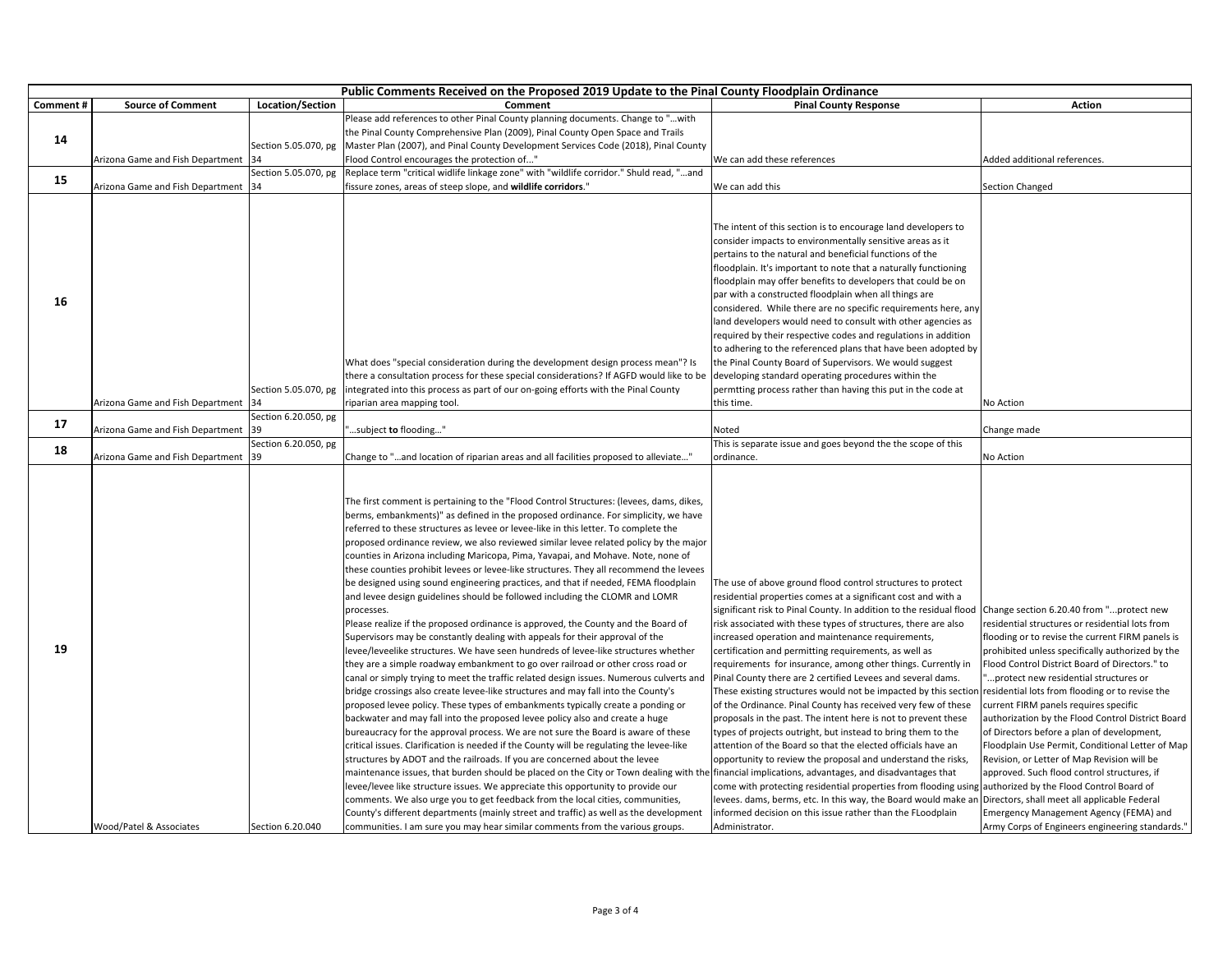|          | Public Comments Received on the Proposed 2019 Update to the Pinal County Floodplain Ordinance |                      |                                                                                                                                                                                                                                                                                                                                                                                                                                                                                                                                                                                                                                                                                                                                                                                                                                                                                                                                                                                                                                                                                                                                                                                                                                                                                                                                                                                                                                                                                                                                                                                                                                                                                                                                                                                                                                                                                                                                                                                                                                                     |                                                                                                                                                                                                                                                                                                                                                                                                                                                                                                                                                                                                                                                                                                                                                                                                                                                                                                                                                                                                                                                                                                                                                                                             |                                                                                                                                                                                                                                                                                                                                                                                                                                                                                                                                                                                                                                                                                                                                                                                       |  |
|----------|-----------------------------------------------------------------------------------------------|----------------------|-----------------------------------------------------------------------------------------------------------------------------------------------------------------------------------------------------------------------------------------------------------------------------------------------------------------------------------------------------------------------------------------------------------------------------------------------------------------------------------------------------------------------------------------------------------------------------------------------------------------------------------------------------------------------------------------------------------------------------------------------------------------------------------------------------------------------------------------------------------------------------------------------------------------------------------------------------------------------------------------------------------------------------------------------------------------------------------------------------------------------------------------------------------------------------------------------------------------------------------------------------------------------------------------------------------------------------------------------------------------------------------------------------------------------------------------------------------------------------------------------------------------------------------------------------------------------------------------------------------------------------------------------------------------------------------------------------------------------------------------------------------------------------------------------------------------------------------------------------------------------------------------------------------------------------------------------------------------------------------------------------------------------------------------------------|---------------------------------------------------------------------------------------------------------------------------------------------------------------------------------------------------------------------------------------------------------------------------------------------------------------------------------------------------------------------------------------------------------------------------------------------------------------------------------------------------------------------------------------------------------------------------------------------------------------------------------------------------------------------------------------------------------------------------------------------------------------------------------------------------------------------------------------------------------------------------------------------------------------------------------------------------------------------------------------------------------------------------------------------------------------------------------------------------------------------------------------------------------------------------------------------|---------------------------------------------------------------------------------------------------------------------------------------------------------------------------------------------------------------------------------------------------------------------------------------------------------------------------------------------------------------------------------------------------------------------------------------------------------------------------------------------------------------------------------------------------------------------------------------------------------------------------------------------------------------------------------------------------------------------------------------------------------------------------------------|--|
| Comment# | <b>Source of Comment</b>                                                                      | Location/Section     | Comment                                                                                                                                                                                                                                                                                                                                                                                                                                                                                                                                                                                                                                                                                                                                                                                                                                                                                                                                                                                                                                                                                                                                                                                                                                                                                                                                                                                                                                                                                                                                                                                                                                                                                                                                                                                                                                                                                                                                                                                                                                             | <b>Pinal County Response</b>                                                                                                                                                                                                                                                                                                                                                                                                                                                                                                                                                                                                                                                                                                                                                                                                                                                                                                                                                                                                                                                                                                                                                                | <b>Action</b>                                                                                                                                                                                                                                                                                                                                                                                                                                                                                                                                                                                                                                                                                                                                                                         |  |
|          |                                                                                               |                      | Please add references to other Pinal County planning documents. Change to "with                                                                                                                                                                                                                                                                                                                                                                                                                                                                                                                                                                                                                                                                                                                                                                                                                                                                                                                                                                                                                                                                                                                                                                                                                                                                                                                                                                                                                                                                                                                                                                                                                                                                                                                                                                                                                                                                                                                                                                     |                                                                                                                                                                                                                                                                                                                                                                                                                                                                                                                                                                                                                                                                                                                                                                                                                                                                                                                                                                                                                                                                                                                                                                                             |                                                                                                                                                                                                                                                                                                                                                                                                                                                                                                                                                                                                                                                                                                                                                                                       |  |
|          |                                                                                               |                      | the Pinal County Comprehensive Plan (2009), Pinal County Open Space and Trails                                                                                                                                                                                                                                                                                                                                                                                                                                                                                                                                                                                                                                                                                                                                                                                                                                                                                                                                                                                                                                                                                                                                                                                                                                                                                                                                                                                                                                                                                                                                                                                                                                                                                                                                                                                                                                                                                                                                                                      |                                                                                                                                                                                                                                                                                                                                                                                                                                                                                                                                                                                                                                                                                                                                                                                                                                                                                                                                                                                                                                                                                                                                                                                             |                                                                                                                                                                                                                                                                                                                                                                                                                                                                                                                                                                                                                                                                                                                                                                                       |  |
| 14       |                                                                                               | Section 5.05.070, pg | Master Plan (2007), and Pinal County Development Services Code (2018), Pinal County                                                                                                                                                                                                                                                                                                                                                                                                                                                                                                                                                                                                                                                                                                                                                                                                                                                                                                                                                                                                                                                                                                                                                                                                                                                                                                                                                                                                                                                                                                                                                                                                                                                                                                                                                                                                                                                                                                                                                                 |                                                                                                                                                                                                                                                                                                                                                                                                                                                                                                                                                                                                                                                                                                                                                                                                                                                                                                                                                                                                                                                                                                                                                                                             |                                                                                                                                                                                                                                                                                                                                                                                                                                                                                                                                                                                                                                                                                                                                                                                       |  |
|          | Arizona Game and Fish Department                                                              | 34                   | Flood Control encourages the protection of"                                                                                                                                                                                                                                                                                                                                                                                                                                                                                                                                                                                                                                                                                                                                                                                                                                                                                                                                                                                                                                                                                                                                                                                                                                                                                                                                                                                                                                                                                                                                                                                                                                                                                                                                                                                                                                                                                                                                                                                                         | We can add these references                                                                                                                                                                                                                                                                                                                                                                                                                                                                                                                                                                                                                                                                                                                                                                                                                                                                                                                                                                                                                                                                                                                                                                 | Added additional references.                                                                                                                                                                                                                                                                                                                                                                                                                                                                                                                                                                                                                                                                                                                                                          |  |
| 15       |                                                                                               | Section 5.05.070, pg | Replace term "critical widlife linkage zone" with "wildlife corridor." Shuld read, "and                                                                                                                                                                                                                                                                                                                                                                                                                                                                                                                                                                                                                                                                                                                                                                                                                                                                                                                                                                                                                                                                                                                                                                                                                                                                                                                                                                                                                                                                                                                                                                                                                                                                                                                                                                                                                                                                                                                                                             |                                                                                                                                                                                                                                                                                                                                                                                                                                                                                                                                                                                                                                                                                                                                                                                                                                                                                                                                                                                                                                                                                                                                                                                             |                                                                                                                                                                                                                                                                                                                                                                                                                                                                                                                                                                                                                                                                                                                                                                                       |  |
|          | Arizona Game and Fish Department                                                              | 134                  | fissure zones, areas of steep slope, and <b>wildlife corridors</b> ."                                                                                                                                                                                                                                                                                                                                                                                                                                                                                                                                                                                                                                                                                                                                                                                                                                                                                                                                                                                                                                                                                                                                                                                                                                                                                                                                                                                                                                                                                                                                                                                                                                                                                                                                                                                                                                                                                                                                                                               | We can add this                                                                                                                                                                                                                                                                                                                                                                                                                                                                                                                                                                                                                                                                                                                                                                                                                                                                                                                                                                                                                                                                                                                                                                             | Section Changed                                                                                                                                                                                                                                                                                                                                                                                                                                                                                                                                                                                                                                                                                                                                                                       |  |
| 16       | Arizona Game and Fish Department                                                              | Section 5.05.070, pg | What does "special consideration during the development design process mean"? Is<br>there a consultation process for these special considerations? If AGFD would like to be developing standard operating procedures within the<br>ntegrated into this process as part of our on-going efforts with the Pinal County<br>iparian area mapping tool.                                                                                                                                                                                                                                                                                                                                                                                                                                                                                                                                                                                                                                                                                                                                                                                                                                                                                                                                                                                                                                                                                                                                                                                                                                                                                                                                                                                                                                                                                                                                                                                                                                                                                                  | The intent of this section is to encourage land developers to<br>consider impacts to environmentally sensitive areas as it<br>pertains to the natural and beneficial functions of the<br>floodplain. It's important to note that a naturally functioning<br>floodplain may offer benefits to developers that could be on<br>par with a constructed floodplain when all things are<br>considered. While there are no specific requirements here, any<br>land developers would need to consult with other agencies as<br>required by their respective codes and regulations in addition<br>to adhering to the referenced plans that have been adopted by<br>the Pinal County Board of Supervisors. We would suggest<br>permtting process rather than having this put in the code at<br>this time.                                                                                                                                                                                                                                                                                                                                                                                             | No Action                                                                                                                                                                                                                                                                                                                                                                                                                                                                                                                                                                                                                                                                                                                                                                             |  |
|          |                                                                                               | Section 6.20.050, pg |                                                                                                                                                                                                                                                                                                                                                                                                                                                                                                                                                                                                                                                                                                                                                                                                                                                                                                                                                                                                                                                                                                                                                                                                                                                                                                                                                                                                                                                                                                                                                                                                                                                                                                                                                                                                                                                                                                                                                                                                                                                     |                                                                                                                                                                                                                                                                                                                                                                                                                                                                                                                                                                                                                                                                                                                                                                                                                                                                                                                                                                                                                                                                                                                                                                                             |                                                                                                                                                                                                                                                                                                                                                                                                                                                                                                                                                                                                                                                                                                                                                                                       |  |
| 17       | Arizona Game and Fish Department                                                              | 39                   | subject to flooding"                                                                                                                                                                                                                                                                                                                                                                                                                                                                                                                                                                                                                                                                                                                                                                                                                                                                                                                                                                                                                                                                                                                                                                                                                                                                                                                                                                                                                                                                                                                                                                                                                                                                                                                                                                                                                                                                                                                                                                                                                                | Noted                                                                                                                                                                                                                                                                                                                                                                                                                                                                                                                                                                                                                                                                                                                                                                                                                                                                                                                                                                                                                                                                                                                                                                                       | Change made                                                                                                                                                                                                                                                                                                                                                                                                                                                                                                                                                                                                                                                                                                                                                                           |  |
| 18       |                                                                                               | Section 6.20.050, pg |                                                                                                                                                                                                                                                                                                                                                                                                                                                                                                                                                                                                                                                                                                                                                                                                                                                                                                                                                                                                                                                                                                                                                                                                                                                                                                                                                                                                                                                                                                                                                                                                                                                                                                                                                                                                                                                                                                                                                                                                                                                     | This is separate issue and goes beyond the the scope of this                                                                                                                                                                                                                                                                                                                                                                                                                                                                                                                                                                                                                                                                                                                                                                                                                                                                                                                                                                                                                                                                                                                                |                                                                                                                                                                                                                                                                                                                                                                                                                                                                                                                                                                                                                                                                                                                                                                                       |  |
|          | Arizona Game and Fish Department                                                              | 39                   | Change to "and location of riparian areas and all facilities proposed to alleviate"                                                                                                                                                                                                                                                                                                                                                                                                                                                                                                                                                                                                                                                                                                                                                                                                                                                                                                                                                                                                                                                                                                                                                                                                                                                                                                                                                                                                                                                                                                                                                                                                                                                                                                                                                                                                                                                                                                                                                                 | ordinance.                                                                                                                                                                                                                                                                                                                                                                                                                                                                                                                                                                                                                                                                                                                                                                                                                                                                                                                                                                                                                                                                                                                                                                                  | No Action                                                                                                                                                                                                                                                                                                                                                                                                                                                                                                                                                                                                                                                                                                                                                                             |  |
| 19       |                                                                                               |                      | The first comment is pertaining to the "Flood Control Structures: (levees, dams, dikes,<br>berms, embankments)" as defined in the proposed ordinance. For simplicity, we have<br>referred to these structures as levee or levee-like in this letter. To complete the<br>proposed ordinance review, we also reviewed similar levee related policy by the major<br>counties in Arizona including Maricopa, Pima, Yavapai, and Mohave. Note, none of<br>these counties prohibit levees or levee-like structures. They all recommend the levees<br>be designed using sound engineering practices, and that if needed, FEMA floodplain<br>and levee design guidelines should be followed including the CLOMR and LOMR<br>processes.<br>Please realize if the proposed ordinance is approved, the County and the Board of<br>Supervisors may be constantly dealing with appeals for their approval of the<br>evee/leveelike structures. We have seen hundreds of levee-like structures whether<br>they are a simple roadway embankment to go over railroad or other cross road or<br>canal or simply trying to meet the traffic related design issues. Numerous culverts and<br>bridge crossings also create levee-like structures and may fall into the County's<br>proposed levee policy. These types of embankments typically create a ponding or<br>backwater and may fall into the proposed levee policy also and create a huge<br>bureaucracy for the approval process. We are not sure the Board is aware of these<br>critical issues. Clarification is needed if the County will be regulating the levee-like<br>structures by ADOT and the railroads. If you are concerned about the levee<br>maintenance issues, that burden should be placed on the City or Town dealing with th<br>evee/levee like structure issues. We appreciate this opportunity to provide our<br>comments. We also urge you to get feedback from the local cities, communities,<br>County's different departments (mainly street and traffic) as well as the development | The use of above ground flood control structures to protect<br>residential properties comes at a significant cost and with a<br>significant risk to Pinal County. In addition to the residual flood<br>risk associated with these types of structures, there are also<br>increased operation and maintenance requirements,<br>certification and permitting requirements, as well as<br>requirements for insurance, among other things. Currently in<br>Pinal County there are 2 certified Levees and several dams.<br>These existing structures would not be impacted by this sectior<br>of the Ordinance. Pinal County has received very few of these<br>proposals in the past. The intent here is not to prevent these<br>types of projects outright, but instead to bring them to the<br>attention of the Board so that the elected officials have an<br>opportunity to review the proposal and understand the risks,<br>e financial implications, advantages, and disadvantages that<br>come with protecting residential properties from flooding using<br>levees. dams, berms, etc. In this way, the Board would make an<br>informed decision on this issue rather than the FLoodplain | Change section 6.20.40 from "protect new<br>residential structures or residential lots from<br>flooding or to revise the current FIRM panels is<br>prohibited unless specifically authorized by the<br>Flood Control District Board of Directors." to<br>protect new residential structures or<br>residential lots from flooding or to revise the<br>current FIRM panels requires specific<br>authorization by the Flood Control District Board<br>of Directors before a plan of development,<br>Floodplain Use Permit, Conditional Letter of Map<br>Revision, or Letter of Map Revision will be<br>approved. Such flood control structures, if<br>authorized by the Flood Control Board of<br>Directors, shall meet all applicable Federal<br>Emergency Management Agency (FEMA) and |  |
|          | Wood/Patel & Associates                                                                       | Section 6.20.040     | communities. I am sure you may hear similar comments from the various groups.                                                                                                                                                                                                                                                                                                                                                                                                                                                                                                                                                                                                                                                                                                                                                                                                                                                                                                                                                                                                                                                                                                                                                                                                                                                                                                                                                                                                                                                                                                                                                                                                                                                                                                                                                                                                                                                                                                                                                                       | Administrator.                                                                                                                                                                                                                                                                                                                                                                                                                                                                                                                                                                                                                                                                                                                                                                                                                                                                                                                                                                                                                                                                                                                                                                              | Army Corps of Engineers engineering standards."                                                                                                                                                                                                                                                                                                                                                                                                                                                                                                                                                                                                                                                                                                                                       |  |